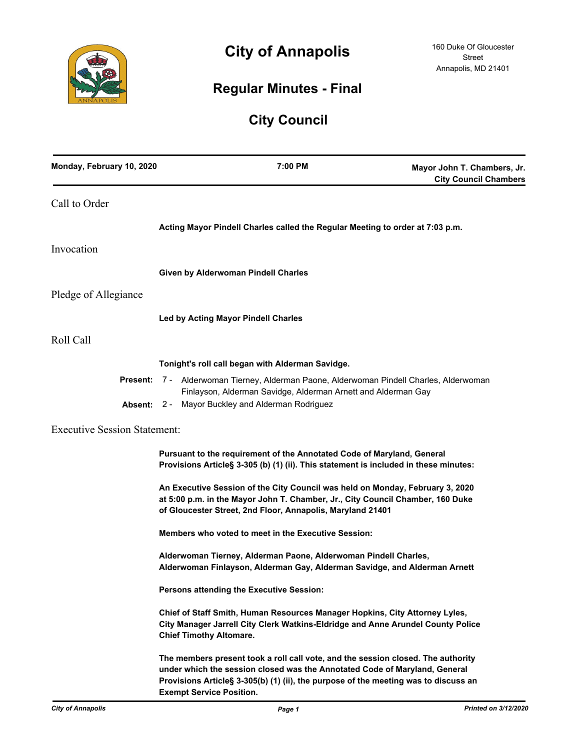

# **City of Annapolis**

# **Regular Minutes - Final**

# **City Council**

| Monday, February 10, 2020           | 7:00 PM                                                                                                                                                                                                                                                                                  | Mayor John T. Chambers, Jr.<br><b>City Council Chambers</b> |
|-------------------------------------|------------------------------------------------------------------------------------------------------------------------------------------------------------------------------------------------------------------------------------------------------------------------------------------|-------------------------------------------------------------|
| Call to Order                       |                                                                                                                                                                                                                                                                                          |                                                             |
|                                     | Acting Mayor Pindell Charles called the Regular Meeting to order at 7:03 p.m.                                                                                                                                                                                                            |                                                             |
| Invocation                          |                                                                                                                                                                                                                                                                                          |                                                             |
|                                     | Given by Alderwoman Pindell Charles                                                                                                                                                                                                                                                      |                                                             |
| Pledge of Allegiance                |                                                                                                                                                                                                                                                                                          |                                                             |
|                                     | <b>Led by Acting Mayor Pindell Charles</b>                                                                                                                                                                                                                                               |                                                             |
| Roll Call                           |                                                                                                                                                                                                                                                                                          |                                                             |
|                                     | Tonight's roll call began with Alderman Savidge.                                                                                                                                                                                                                                         |                                                             |
| Present:                            | 7 - Alderwoman Tierney, Alderman Paone, Alderwoman Pindell Charles, Alderwoman<br>Finlayson, Alderman Savidge, Alderman Arnett and Alderman Gay                                                                                                                                          |                                                             |
|                                     | Absent: 2 - Mayor Buckley and Alderman Rodriguez                                                                                                                                                                                                                                         |                                                             |
| <b>Executive Session Statement:</b> |                                                                                                                                                                                                                                                                                          |                                                             |
|                                     | Pursuant to the requirement of the Annotated Code of Maryland, General<br>Provisions Article§ 3-305 (b) (1) (ii). This statement is included in these minutes:                                                                                                                           |                                                             |
|                                     | An Executive Session of the City Council was held on Monday, February 3, 2020<br>at 5:00 p.m. in the Mayor John T. Chamber, Jr., City Council Chamber, 160 Duke<br>of Gloucester Street, 2nd Floor, Annapolis, Maryland 21401                                                            |                                                             |
|                                     | Members who voted to meet in the Executive Session:                                                                                                                                                                                                                                      |                                                             |
|                                     | Alderwoman Tierney, Alderman Paone, Alderwoman Pindell Charles,<br>Alderwoman Finlayson, Alderman Gay, Alderman Savidge, and Alderman Arnett                                                                                                                                             |                                                             |
|                                     | Persons attending the Executive Session:                                                                                                                                                                                                                                                 |                                                             |
|                                     | Chief of Staff Smith, Human Resources Manager Hopkins, City Attorney Lyles,<br>City Manager Jarrell City Clerk Watkins-Eldridge and Anne Arundel County Police<br><b>Chief Timothy Altomare.</b>                                                                                         |                                                             |
|                                     | The members present took a roll call vote, and the session closed. The authority<br>under which the session closed was the Annotated Code of Maryland, General<br>Provisions Article§ 3-305(b) (1) (ii), the purpose of the meeting was to discuss an<br><b>Exempt Service Position.</b> |                                                             |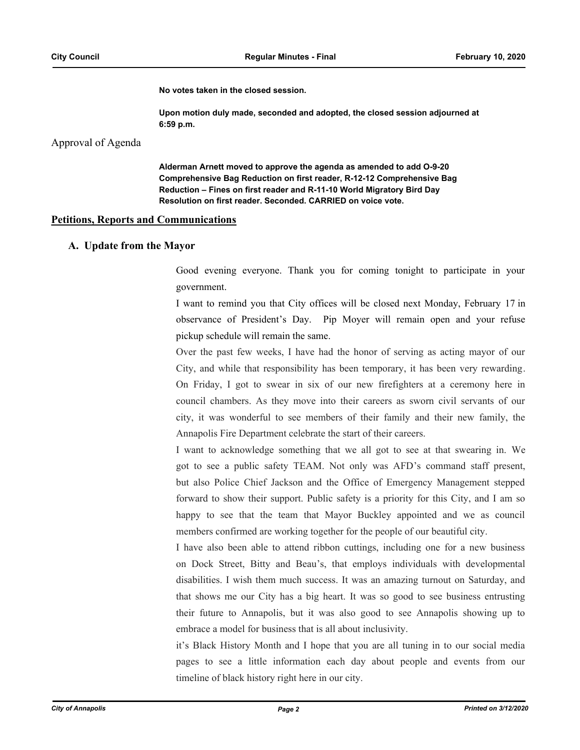**No votes taken in the closed session.**

**Upon motion duly made, seconded and adopted, the closed session adjourned at 6:59 p.m.**

Approval of Agenda

**Alderman Arnett moved to approve the agenda as amended to add O-9-20 Comprehensive Bag Reduction on first reader, R-12-12 Comprehensive Bag Reduction – Fines on first reader and R-11-10 World Migratory Bird Day Resolution on first reader. Seconded. CARRIED on voice vote.**

#### **Petitions, Reports and Communications**

### **A. Update from the Mayor**

Good evening everyone. Thank you for coming tonight to participate in your government.

I want to remind you that City offices will be closed next Monday, February 17 in observance of President's Day. Pip Moyer will remain open and your refuse pickup schedule will remain the same.

Over the past few weeks, I have had the honor of serving as acting mayor of our City, and while that responsibility has been temporary, it has been very rewarding. On Friday, I got to swear in six of our new firefighters at a ceremony here in council chambers. As they move into their careers as sworn civil servants of our city, it was wonderful to see members of their family and their new family, the Annapolis Fire Department celebrate the start of their careers.

I want to acknowledge something that we all got to see at that swearing in. We got to see a public safety TEAM. Not only was AFD's command staff present, but also Police Chief Jackson and the Office of Emergency Management stepped forward to show their support. Public safety is a priority for this City, and I am so happy to see that the team that Mayor Buckley appointed and we as council members confirmed are working together for the people of our beautiful city.

I have also been able to attend ribbon cuttings, including one for a new business on Dock Street, Bitty and Beau's, that employs individuals with developmental disabilities. I wish them much success. It was an amazing turnout on Saturday, and that shows me our City has a big heart. It was so good to see business entrusting their future to Annapolis, but it was also good to see Annapolis showing up to embrace a model for business that is all about inclusivity.

it's Black History Month and I hope that you are all tuning in to our social media pages to see a little information each day about people and events from our timeline of black history right here in our city.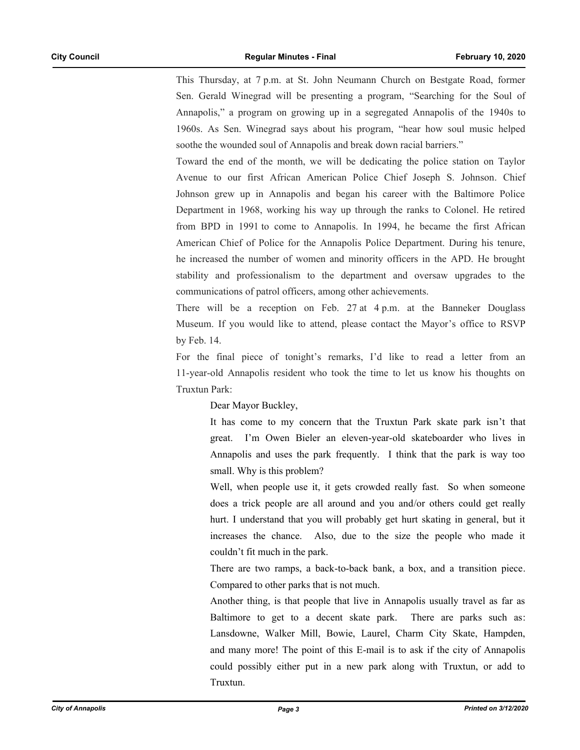This Thursday, at 7 p.m. at St. John Neumann Church on Bestgate Road, former Sen. Gerald Winegrad will be presenting a program, "Searching for the Soul of Annapolis," a program on growing up in a segregated Annapolis of the 1940s to 1960s. As Sen. Winegrad says about his program, "hear how soul music helped soothe the wounded soul of Annapolis and break down racial barriers."

Toward the end of the month, we will be dedicating the police station on Taylor Avenue to our first African American Police Chief Joseph S. Johnson. Chief Johnson grew up in Annapolis and began his career with the Baltimore Police Department in 1968, working his way up through the ranks to Colonel. He retired from BPD in 1991 to come to Annapolis. In 1994, he became the first African American Chief of Police for the Annapolis Police Department. During his tenure, he increased the number of women and minority officers in the APD. He brought stability and professionalism to the department and oversaw upgrades to the communications of patrol officers, among other achievements.

There will be a reception on Feb. 27 at 4 p.m. at the Banneker Douglass Museum. If you would like to attend, please contact the Mayor's office to RSVP by Feb. 14.

For the final piece of tonight's remarks, I'd like to read a letter from an 11-year-old Annapolis resident who took the time to let us know his thoughts on Truxtun Park:

Dear Mayor Buckley,

It has come to my concern that the Truxtun Park skate park isn't that great. I'm Owen Bieler an eleven-year-old skateboarder who lives in Annapolis and uses the park frequently. I think that the park is way too small. Why is this problem?

Well, when people use it, it gets crowded really fast. So when someone does a trick people are all around and you and/or others could get really hurt. I understand that you will probably get hurt skating in general, but it increases the chance. Also, due to the size the people who made it couldn't fit much in the park.

There are two ramps, a back-to-back bank, a box, and a transition piece. Compared to other parks that is not much.

Another thing, is that people that live in Annapolis usually travel as far as Baltimore to get to a decent skate park. There are parks such as: Lansdowne, Walker Mill, Bowie, Laurel, Charm City Skate, Hampden, and many more! The point of this E-mail is to ask if the city of Annapolis could possibly either put in a new park along with Truxtun, or add to Truxtun.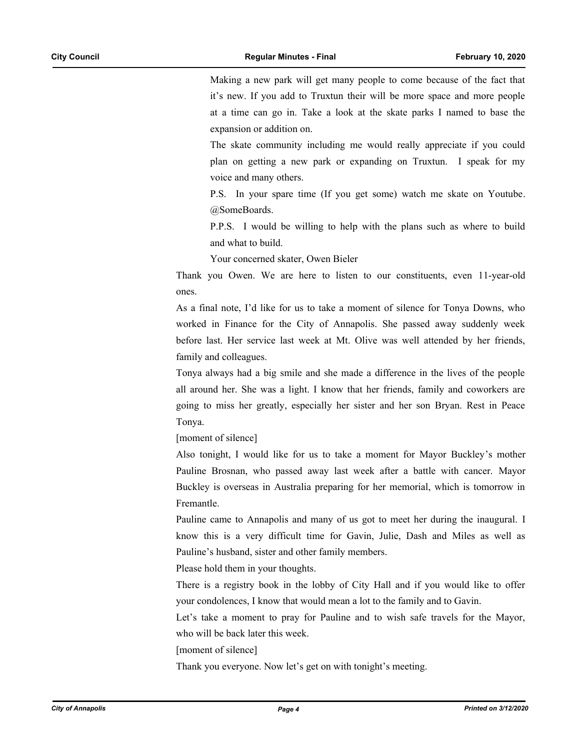Making a new park will get many people to come because of the fact that it's new. If you add to Truxtun their will be more space and more people at a time can go in. Take a look at the skate parks I named to base the expansion or addition on.

The skate community including me would really appreciate if you could plan on getting a new park or expanding on Truxtun. I speak for my voice and many others.

P.S. In your spare time (If you get some) watch me skate on Youtube. @SomeBoards.

P.P.S. I would be willing to help with the plans such as where to build and what to build.

Your concerned skater, Owen Bieler

Thank you Owen. We are here to listen to our constituents, even 11-year-old ones.

As a final note, I'd like for us to take a moment of silence for Tonya Downs, who worked in Finance for the City of Annapolis. She passed away suddenly week before last. Her service last week at Mt. Olive was well attended by her friends, family and colleagues.

Tonya always had a big smile and she made a difference in the lives of the people all around her. She was a light. I know that her friends, family and coworkers are going to miss her greatly, especially her sister and her son Bryan. Rest in Peace Tonya.

[moment of silence]

Also tonight, I would like for us to take a moment for Mayor Buckley's mother Pauline Brosnan, who passed away last week after a battle with cancer. Mayor Buckley is overseas in Australia preparing for her memorial, which is tomorrow in Fremantle.

Pauline came to Annapolis and many of us got to meet her during the inaugural. I know this is a very difficult time for Gavin, Julie, Dash and Miles as well as Pauline's husband, sister and other family members.

Please hold them in your thoughts.

There is a registry book in the lobby of City Hall and if you would like to offer your condolences, I know that would mean a lot to the family and to Gavin.

Let's take a moment to pray for Pauline and to wish safe travels for the Mayor, who will be back later this week.

[moment of silence]

Thank you everyone. Now let's get on with tonight's meeting.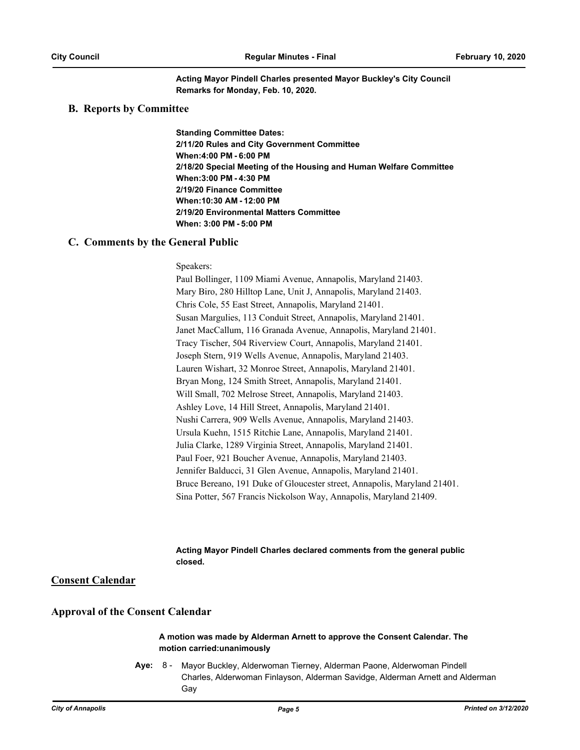**Acting Mayor Pindell Charles presented Mayor Buckley's City Council Remarks for Monday, Feb. 10, 2020.**

## **B. Reports by Committee**

**Standing Committee Dates: 2/11/20 Rules and City Government Committee When:4:00 PM - 6:00 PM 2/18/20 Special Meeting of the Housing and Human Welfare Committee When:3:00 PM - 4:30 PM 2/19/20 Finance Committee When:10:30 AM - 12:00 PM 2/19/20 Environmental Matters Committee When: 3:00 PM - 5:00 PM**

### **C. Comments by the General Public**

Speakers:

Paul Bollinger, 1109 Miami Avenue, Annapolis, Maryland 21403. Mary Biro, 280 Hilltop Lane, Unit J, Annapolis, Maryland 21403. Chris Cole, 55 East Street, Annapolis, Maryland 21401. Susan Margulies, 113 Conduit Street, Annapolis, Maryland 21401. Janet MacCallum, 116 Granada Avenue, Annapolis, Maryland 21401. Tracy Tischer, 504 Riverview Court, Annapolis, Maryland 21401. Joseph Stern, 919 Wells Avenue, Annapolis, Maryland 21403. Lauren Wishart, 32 Monroe Street, Annapolis, Maryland 21401. Bryan Mong, 124 Smith Street, Annapolis, Maryland 21401. Will Small, 702 Melrose Street, Annapolis, Maryland 21403. Ashley Love, 14 Hill Street, Annapolis, Maryland 21401. Nushi Carrera, 909 Wells Avenue, Annapolis, Maryland 21403. Ursula Kuehn, 1515 Ritchie Lane, Annapolis, Maryland 21401. Julia Clarke, 1289 Virginia Street, Annapolis, Maryland 21401. Paul Foer, 921 Boucher Avenue, Annapolis, Maryland 21403. Jennifer Balducci, 31 Glen Avenue, Annapolis, Maryland 21401. Bruce Bereano, 191 Duke of Gloucester street, Annapolis, Maryland 21401. Sina Potter, 567 Francis Nickolson Way, Annapolis, Maryland 21409.

#### **Acting Mayor Pindell Charles declared comments from the general public closed.**

**Consent Calendar**

# **Approval of the Consent Calendar**

#### **A motion was made by Alderman Arnett to approve the Consent Calendar. The motion carried:unanimously**

**Aye:** Mayor Buckley, Alderwoman Tierney, Alderman Paone, Alderwoman Pindell Charles, Alderwoman Finlayson, Alderman Savidge, Alderman Arnett and Alderman Gay Aye: 8 -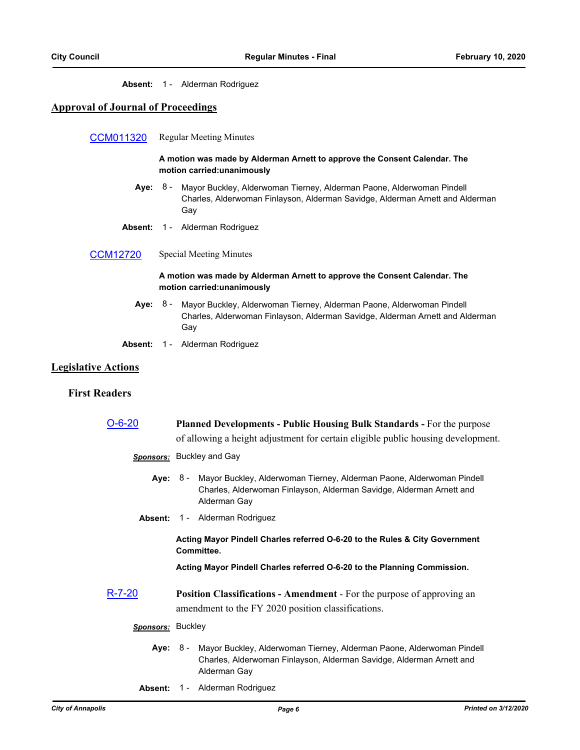## **Absent:** 1 - Alderman Rodriguez

# **Approval of Journal of Proceedings**

| CCM011320       | <b>Regular Meeting Minutes</b>                                                                                                                                         |  |  |
|-----------------|------------------------------------------------------------------------------------------------------------------------------------------------------------------------|--|--|
|                 | A motion was made by Alderman Arnett to approve the Consent Calendar. The<br>motion carried: unanimously                                                               |  |  |
| Aye:            | 8 -<br>Mayor Buckley, Alderwoman Tierney, Alderman Paone, Alderwoman Pindell<br>Charles, Alderwoman Finlayson, Alderman Savidge, Alderman Arnett and Alderman<br>Gay   |  |  |
| Absent:         | 1 - Alderman Rodriguez                                                                                                                                                 |  |  |
| <b>CCM12720</b> | Special Meeting Minutes                                                                                                                                                |  |  |
|                 | A motion was made by Alderman Arnett to approve the Consent Calendar. The<br>motion carried: unanimously                                                               |  |  |
|                 | Aye: 8 - Mayor Buckley, Alderwoman Tierney, Alderman Paone, Alderwoman Pindell<br>Charles, Alderwoman Finlayson, Alderman Savidge, Alderman Arnett and Alderman<br>Gay |  |  |
| Absent:         | 1 - Alderman Rodriguez                                                                                                                                                 |  |  |

# **Legislative Actions**

# **First Readers**

| O-6-20            | <b>Planned Developments - Public Housing Bulk Standards - For the purpose</b><br>of allowing a height adjustment for certain eligible public housing development.      |  |  |
|-------------------|------------------------------------------------------------------------------------------------------------------------------------------------------------------------|--|--|
|                   | <b>Sponsors:</b> Buckley and Gay                                                                                                                                       |  |  |
|                   | Aye: 8 - Mayor Buckley, Alderwoman Tierney, Alderman Paone, Alderwoman Pindell<br>Charles, Alderwoman Finlayson, Alderman Savidge, Alderman Arnett and<br>Alderman Gay |  |  |
|                   | <b>Absent: 1 - Alderman Rodriguez</b>                                                                                                                                  |  |  |
|                   | Acting Mayor Pindell Charles referred O-6-20 to the Rules & City Government<br>Committee.<br>Acting Mayor Pindell Charles referred O-6-20 to the Planning Commission.  |  |  |
|                   |                                                                                                                                                                        |  |  |
| R-7-20            | <b>Position Classifications - Amendment - For the purpose of approving an</b><br>amendment to the FY 2020 position classifications.                                    |  |  |
| Sponsors: Buckley |                                                                                                                                                                        |  |  |
|                   | Aye: 8 - Mayor Buckley, Alderwoman Tierney, Alderman Paone, Alderwoman Pindell<br>Charles, Alderwoman Finlayson, Alderman Savidge, Alderman Arnett and<br>Alderman Gay |  |  |

**Absent:** 1 - Alderman Rodriguez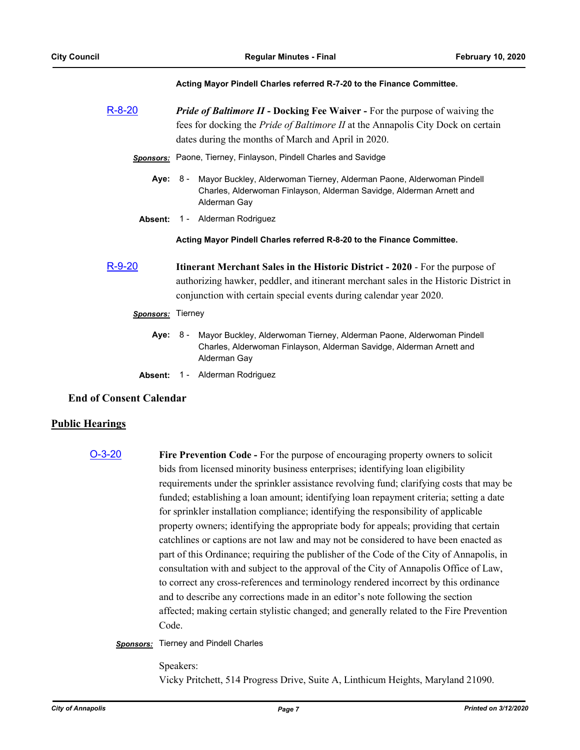#### **Acting Mayor Pindell Charles referred R-7-20 to the Finance Committee.**

| $R-8-20$         | <b>Pride of Baltimore II - Docking Fee Waiver - For the purpose of waiving the</b><br>fees for docking the Pride of Baltimore II at the Annapolis City Dock on certain<br>dates during the months of March and April in 2020.                       |  |  |  |
|------------------|-----------------------------------------------------------------------------------------------------------------------------------------------------------------------------------------------------------------------------------------------------|--|--|--|
|                  | <b>Sponsors:</b> Paone, Tierney, Finlayson, Pindell Charles and Savidge                                                                                                                                                                             |  |  |  |
|                  | Aye: 8 - Mayor Buckley, Alderwoman Tierney, Alderman Paone, Alderwoman Pindell<br>Charles, Alderwoman Finlayson, Alderman Savidge, Alderman Arnett and<br>Alderman Gay                                                                              |  |  |  |
|                  | Absent: 1 - Alderman Rodriguez                                                                                                                                                                                                                      |  |  |  |
|                  | Acting Mayor Pindell Charles referred R-8-20 to the Finance Committee.                                                                                                                                                                              |  |  |  |
| R-9-20           | <b>Itinerant Merchant Sales in the Historic District - 2020 - For the purpose of</b><br>authorizing hawker, peddler, and itinerant merchant sales in the Historic District in<br>conjunction with certain special events during calendar year 2020. |  |  |  |
| <b>Sponsors:</b> | Tierney                                                                                                                                                                                                                                             |  |  |  |
|                  | Aye: 8 - Mayor Buckley, Alderwoman Tierney, Alderman Paone, Alderwoman Pindell<br>Charles, Alderwoman Finlayson, Alderman Savidge, Alderman Arnett and<br>Alderman Gay                                                                              |  |  |  |
| Absent:          | 1 - Alderman Rodriguez                                                                                                                                                                                                                              |  |  |  |

#### **End of Consent Calendar**

# **Public Hearings**

[O-3-20](http://annapolismd.legistar.com/gateway.aspx?m=l&id=/matter.aspx?key=4603) **Fire Prevention Code -** For the purpose of encouraging property owners to solicit bids from licensed minority business enterprises; identifying loan eligibility requirements under the sprinkler assistance revolving fund; clarifying costs that may be funded; establishing a loan amount; identifying loan repayment criteria; setting a date for sprinkler installation compliance; identifying the responsibility of applicable property owners; identifying the appropriate body for appeals; providing that certain catchlines or captions are not law and may not be considered to have been enacted as part of this Ordinance; requiring the publisher of the Code of the City of Annapolis, in consultation with and subject to the approval of the City of Annapolis Office of Law, to correct any cross-references and terminology rendered incorrect by this ordinance and to describe any corrections made in an editor's note following the section affected; making certain stylistic changed; and generally related to the Fire Prevention Code.

#### *Sponsors:* Tierney and Pindell Charles

Speakers: Vicky Pritchett, 514 Progress Drive, Suite A, Linthicum Heights, Maryland 21090.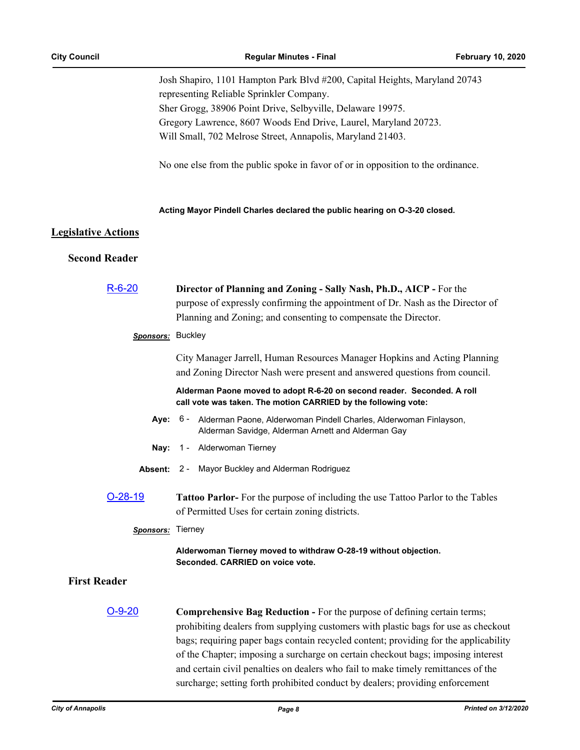Josh Shapiro, 1101 Hampton Park Blvd #200, Capital Heights, Maryland 20743 representing Reliable Sprinkler Company. Sher Grogg, 38906 Point Drive, Selbyville, Delaware 19975. Gregory Lawrence, 8607 Woods End Drive, Laurel, Maryland 20723. Will Small, 702 Melrose Street, Annapolis, Maryland 21403.

No one else from the public spoke in favor of or in opposition to the ordinance.

#### **Acting Mayor Pindell Charles declared the public hearing on O-3-20 closed.**

# **Legislative Actions**

# **Second Reader**

| $R - 6 - 20$        | Director of Planning and Zoning - Sally Nash, Ph.D., AICP - For the                                                                                                                                                                                                                                                                                                                                                                                                                                                     |  |  |
|---------------------|-------------------------------------------------------------------------------------------------------------------------------------------------------------------------------------------------------------------------------------------------------------------------------------------------------------------------------------------------------------------------------------------------------------------------------------------------------------------------------------------------------------------------|--|--|
|                     | purpose of expressly confirming the appointment of Dr. Nash as the Director of                                                                                                                                                                                                                                                                                                                                                                                                                                          |  |  |
|                     | Planning and Zoning; and consenting to compensate the Director.                                                                                                                                                                                                                                                                                                                                                                                                                                                         |  |  |
| Sponsors: Buckley   |                                                                                                                                                                                                                                                                                                                                                                                                                                                                                                                         |  |  |
|                     | City Manager Jarrell, Human Resources Manager Hopkins and Acting Planning                                                                                                                                                                                                                                                                                                                                                                                                                                               |  |  |
|                     | and Zoning Director Nash were present and answered questions from council.                                                                                                                                                                                                                                                                                                                                                                                                                                              |  |  |
|                     | Alderman Paone moved to adopt R-6-20 on second reader. Seconded. A roll<br>call vote was taken. The motion CARRIED by the following vote:                                                                                                                                                                                                                                                                                                                                                                               |  |  |
| Aye:                | 6 - Alderman Paone, Alderwoman Pindell Charles, Alderwoman Finlayson,<br>Alderman Savidge, Alderman Arnett and Alderman Gay                                                                                                                                                                                                                                                                                                                                                                                             |  |  |
| Nay:                | 1 - Alderwoman Tierney                                                                                                                                                                                                                                                                                                                                                                                                                                                                                                  |  |  |
| Absent:             | 2 - Mayor Buckley and Alderman Rodriguez                                                                                                                                                                                                                                                                                                                                                                                                                                                                                |  |  |
| $O-28-19$           | Tattoo Parlor- For the purpose of including the use Tattoo Parlor to the Tables<br>of Permitted Uses for certain zoning districts.                                                                                                                                                                                                                                                                                                                                                                                      |  |  |
|                     |                                                                                                                                                                                                                                                                                                                                                                                                                                                                                                                         |  |  |
| Sponsors: Tierney   |                                                                                                                                                                                                                                                                                                                                                                                                                                                                                                                         |  |  |
|                     | Alderwoman Tierney moved to withdraw O-28-19 without objection.<br>Seconded. CARRIED on voice vote.                                                                                                                                                                                                                                                                                                                                                                                                                     |  |  |
| <b>First Reader</b> |                                                                                                                                                                                                                                                                                                                                                                                                                                                                                                                         |  |  |
| <u>O-9-20</u>       | <b>Comprehensive Bag Reduction - For the purpose of defining certain terms;</b><br>prohibiting dealers from supplying customers with plastic bags for use as checkout<br>bags; requiring paper bags contain recycled content; providing for the applicability<br>of the Chapter; imposing a surcharge on certain checkout bags; imposing interest<br>and certain civil penalties on dealers who fail to make timely remittances of the<br>surcharge; setting forth prohibited conduct by dealers; providing enforcement |  |  |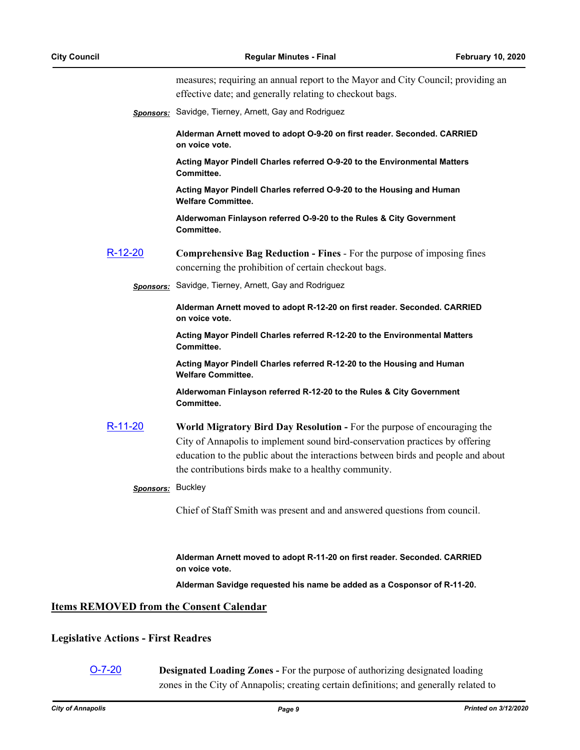measures; requiring an annual report to the Mayor and City Council; providing an effective date; and generally relating to checkout bags.

*Sponsors:* Savidge, Tierney, Arnett, Gay and Rodriguez

**Alderman Arnett moved to adopt O-9-20 on first reader. Seconded. CARRIED on voice vote.**

**Acting Mayor Pindell Charles referred O-9-20 to the Environmental Matters Committee.**

**Acting Mayor Pindell Charles referred O-9-20 to the Housing and Human Welfare Committee.**

**Alderwoman Finlayson referred O-9-20 to the Rules & City Government Committee.**

- [R-12-20](http://annapolismd.legistar.com/gateway.aspx?m=l&id=/matter.aspx?key=4633) **Comprehensive Bag Reduction Fines**  For the purpose of imposing fines concerning the prohibition of certain checkout bags.
	- *Sponsors:* Savidge, Tierney, Arnett, Gay and Rodriguez

**Alderman Arnett moved to adopt R-12-20 on first reader. Seconded. CARRIED on voice vote.**

**Acting Mayor Pindell Charles referred R-12-20 to the Environmental Matters Committee.**

**Acting Mayor Pindell Charles referred R-12-20 to the Housing and Human Welfare Committee.**

**Alderwoman Finlayson referred R-12-20 to the Rules & City Government Committee.**

[R-11-20](http://annapolismd.legistar.com/gateway.aspx?m=l&id=/matter.aspx?key=4630) **World Migratory Bird Day Resolution -** For the purpose of encouraging the City of Annapolis to implement sound bird-conservation practices by offering education to the public about the interactions between birds and people and about the contributions birds make to a healthy community.

#### *Sponsors:* Buckley

Chief of Staff Smith was present and and answered questions from council.

**Alderman Arnett moved to adopt R-11-20 on first reader. Seconded. CARRIED on voice vote.**

**Alderman Savidge requested his name be added as a Cosponsor of R-11-20.**

#### **Items REMOVED from the Consent Calendar**

#### **Legislative Actions - First Readres**

[O-7-20](http://annapolismd.legistar.com/gateway.aspx?m=l&id=/matter.aspx?key=4617) **Designated Loading Zones -** For the purpose of authorizing designated loading zones in the City of Annapolis; creating certain definitions; and generally related to